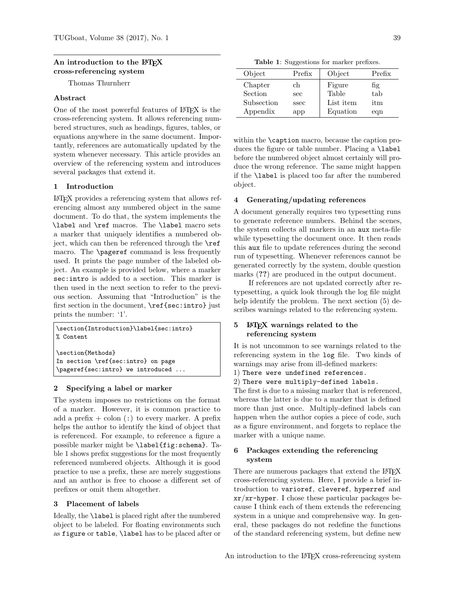## An introduction to the L<sup>AT</sup>FX cross-referencing system

Thomas Thurnherr

## Abstract

One of the most powerful features of LATEX is the cross-referencing system. It allows referencing numbered structures, such as headings, figures, tables, or equations anywhere in the same document. Importantly, references are automatically updated by the system whenever necessary. This article provides an overview of the referencing system and introduces several packages that extend it.

### 1 Introduction

LATEX provides a referencing system that allows referencing almost any numbered object in the same document. To do that, the system implements the \label and \ref macros. The \label macro sets a marker that uniquely identifies a numbered object, which can then be referenced through the \ref macro. The \pageref command is less frequently used. It prints the page number of the labeled object. An example is provided below, where a marker sec:intro is added to a section. This marker is then used in the next section to refer to the previous section. Assuming that "Introduction" is the first section in the document, \ref{sec:intro} just prints the number: '1'.

\section{Introduction}\label{sec:intro} % Content \section{Methods}

In section \ref{sec:intro} on page \pageref{sec:intro} we introduced ...

### 2 Specifying a label or marker

The system imposes no restrictions on the format of a marker. However, it is common practice to add a prefix  $+$  colon (:) to every marker. A prefix helps the author to identify the kind of object that is referenced. For example, to reference a figure a possible marker might be \label{fig:schema}. Table 1 shows prefix suggestions for the most frequently referenced numbered objects. Although it is good practice to use a prefix, these are merely suggestions and an author is free to choose a different set of prefixes or omit them altogether.

### 3 Placement of labels

Ideally, the \label is placed right after the numbered object to be labeled. For floating environments such as figure or table, \label has to be placed after or

Table 1: Suggestions for marker prefixes.

| Object     | Prefix | Object    | Prefix |
|------------|--------|-----------|--------|
| Chapter    | ch     | Figure    | fig    |
| Section    | sec    | Table     | tab    |
| Subsection | ssec   | List item | itm    |
| Appendix   | app    | Equation  | eqn    |
|            |        |           |        |

within the **\caption** macro, because the caption produces the figure or table number. Placing a \label before the numbered object almost certainly will produce the wrong reference. The same might happen if the \label is placed too far after the numbered object.

## 4 Generating/updating references

A document generally requires two typesetting runs to generate reference numbers. Behind the scenes, the system collects all markers in an aux meta-file while typesetting the document once. It then reads this aux file to update references during the second run of typesetting. Whenever references cannot be generated correctly by the system, double question marks (??) are produced in the output document.

If references are not updated correctly after retypesetting, a quick look through the log file might help identify the problem. The next section  $(5)$  describes warnings related to the referencing system.

# 5 LAT<sub>F</sub>X warnings related to the referencing system

It is not uncommon to see warnings related to the referencing system in the log file. Two kinds of warnings may arise from ill-defined markers:

- 1) There were undefined references.
- 2) There were multiply-defined labels.

The first is due to a missing marker that is referenced, whereas the latter is due to a marker that is defined more than just once. Multiply-defined labels can happen when the author copies a piece of code, such as a figure environment, and forgets to replace the marker with a unique name.

## 6 Packages extending the referencing system

There are numerous packages that extend the LAT<sub>EX</sub> cross-referencing system. Here, I provide a brief introduction to varioref, cleveref, hyperref and  $xr/xr-hyper.$  I chose these particular packages because I think each of them extends the referencing system in a unique and comprehensive way. In general, these packages do not redefine the functions of the standard referencing system, but define new